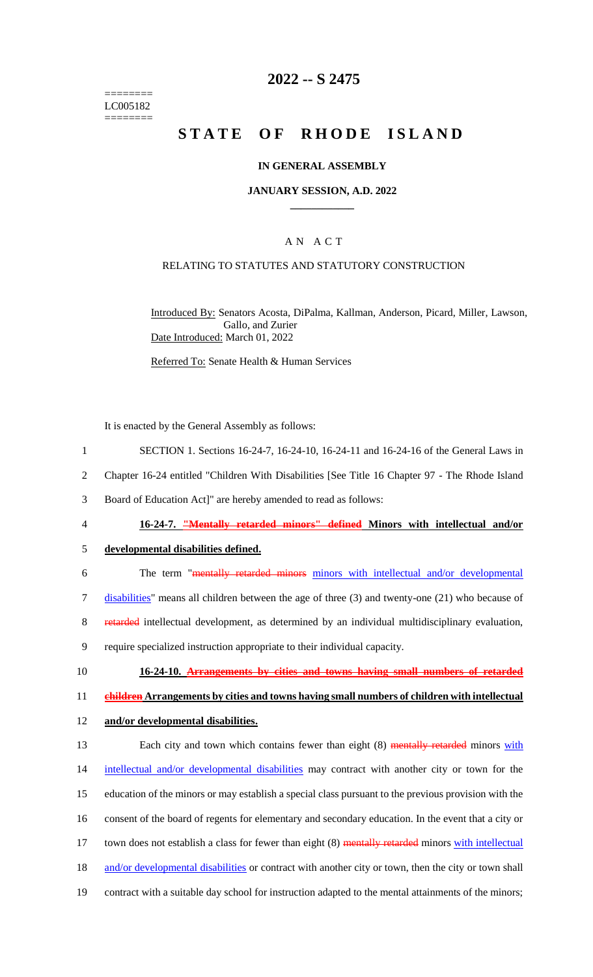======== LC005182 ========

# **2022 -- S 2475**

# **STATE OF RHODE ISLAND**

#### **IN GENERAL ASSEMBLY**

#### **JANUARY SESSION, A.D. 2022 \_\_\_\_\_\_\_\_\_\_\_\_**

#### A N A C T

#### RELATING TO STATUTES AND STATUTORY CONSTRUCTION

Introduced By: Senators Acosta, DiPalma, Kallman, Anderson, Picard, Miller, Lawson, Gallo, and Zurier Date Introduced: March 01, 2022

Referred To: Senate Health & Human Services

It is enacted by the General Assembly as follows:

- 1 SECTION 1. Sections 16-24-7, 16-24-10, 16-24-11 and 16-24-16 of the General Laws in
- 2 Chapter 16-24 entitled "Children With Disabilities [See Title 16 Chapter 97 The Rhode Island
- 3 Board of Education Act]" are hereby amended to read as follows:
- 

#### 4 **16-24-7. "Mentally retarded minors" defined Minors with intellectual and/or**

- 5 **developmental disabilities defined.**
- 6 The term "mentally retarded minors minors with intellectual and/or developmental 7 disabilities" means all children between the age of three (3) and twenty-one (21) who because of 8 retarded intellectual development, as determined by an individual multidisciplinary evaluation, 9 require specialized instruction appropriate to their individual capacity.
- 10 **16-24-10. Arrangements by cities and towns having small numbers of retarded**

11 **children Arrangements by cities and towns having small numbers of children with intellectual** 

12 **and/or developmental disabilities.**

13 Each city and town which contains fewer than eight (8) mentally retarded minors with 14 intellectual and/or developmental disabilities may contract with another city or town for the 15 education of the minors or may establish a special class pursuant to the previous provision with the 16 consent of the board of regents for elementary and secondary education. In the event that a city or 17 town does not establish a class for fewer than eight (8) mentally retarded minors with intellectual 18 and/or developmental disabilities or contract with another city or town, then the city or town shall 19 contract with a suitable day school for instruction adapted to the mental attainments of the minors;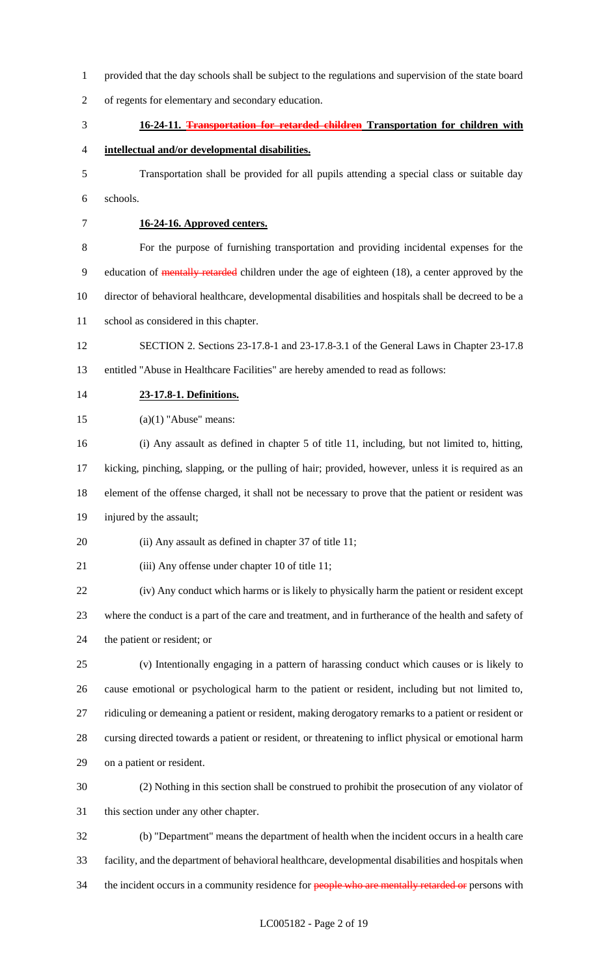provided that the day schools shall be subject to the regulations and supervision of the state board of regents for elementary and secondary education. **16-24-11. Transportation for retarded children Transportation for children with intellectual and/or developmental disabilities.** Transportation shall be provided for all pupils attending a special class or suitable day schools. **16-24-16. Approved centers.** For the purpose of furnishing transportation and providing incidental expenses for the 9 education of mentally retarded children under the age of eighteen (18), a center approved by the director of behavioral healthcare, developmental disabilities and hospitals shall be decreed to be a school as considered in this chapter. SECTION 2. Sections 23-17.8-1 and 23-17.8-3.1 of the General Laws in Chapter 23-17.8 entitled "Abuse in Healthcare Facilities" are hereby amended to read as follows: **23-17.8-1. Definitions.**  $(a)(1)$  "Abuse" means: (i) Any assault as defined in chapter 5 of title 11, including, but not limited to, hitting, kicking, pinching, slapping, or the pulling of hair; provided, however, unless it is required as an element of the offense charged, it shall not be necessary to prove that the patient or resident was injured by the assault; 20 (ii) Any assault as defined in chapter 37 of title 11; 21 (iii) Any offense under chapter 10 of title 11; (iv) Any conduct which harms or is likely to physically harm the patient or resident except where the conduct is a part of the care and treatment, and in furtherance of the health and safety of the patient or resident; or (v) Intentionally engaging in a pattern of harassing conduct which causes or is likely to cause emotional or psychological harm to the patient or resident, including but not limited to, ridiculing or demeaning a patient or resident, making derogatory remarks to a patient or resident or cursing directed towards a patient or resident, or threatening to inflict physical or emotional harm on a patient or resident. (2) Nothing in this section shall be construed to prohibit the prosecution of any violator of this section under any other chapter. (b) "Department" means the department of health when the incident occurs in a health care facility, and the department of behavioral healthcare, developmental disabilities and hospitals when 34 the incident occurs in a community residence for people who are mentally retarded or persons with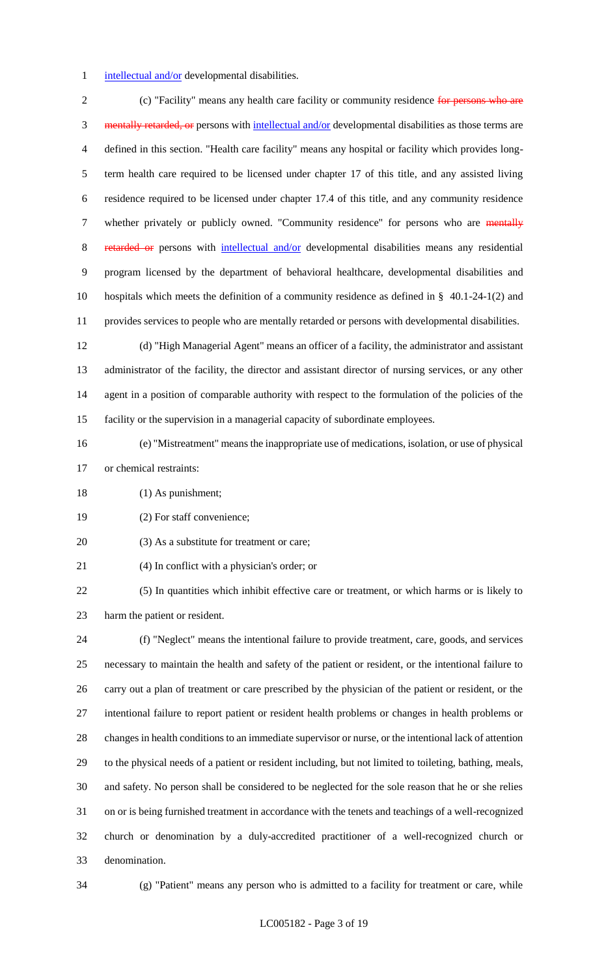#### 1 intellectual and/or developmental disabilities.

2 (c) "Facility" means any health care facility or community residence for persons who are 3 mentally retarded, or persons with intellectual and/or developmental disabilities as those terms are defined in this section. "Health care facility" means any hospital or facility which provides long- term health care required to be licensed under chapter 17 of this title, and any assisted living residence required to be licensed under chapter 17.4 of this title, and any community residence 7 whether privately or publicly owned. "Community residence" for persons who are mentally 8 retarded or persons with intellectual and/or developmental disabilities means any residential program licensed by the department of behavioral healthcare, developmental disabilities and hospitals which meets the definition of a community residence as defined in § 40.1-24-1(2) and provides services to people who are mentally retarded or persons with developmental disabilities. (d) "High Managerial Agent" means an officer of a facility, the administrator and assistant

 administrator of the facility, the director and assistant director of nursing services, or any other agent in a position of comparable authority with respect to the formulation of the policies of the facility or the supervision in a managerial capacity of subordinate employees.

- (e) "Mistreatment" means the inappropriate use of medications, isolation, or use of physical or chemical restraints:
- 18 (1) As punishment;
- (2) For staff convenience;
- 20 (3) As a substitute for treatment or care;
- (4) In conflict with a physician's order; or

 (5) In quantities which inhibit effective care or treatment, or which harms or is likely to harm the patient or resident.

 (f) "Neglect" means the intentional failure to provide treatment, care, goods, and services necessary to maintain the health and safety of the patient or resident, or the intentional failure to carry out a plan of treatment or care prescribed by the physician of the patient or resident, or the intentional failure to report patient or resident health problems or changes in health problems or changes in health conditions to an immediate supervisor or nurse, or the intentional lack of attention to the physical needs of a patient or resident including, but not limited to toileting, bathing, meals, and safety. No person shall be considered to be neglected for the sole reason that he or she relies on or is being furnished treatment in accordance with the tenets and teachings of a well-recognized church or denomination by a duly-accredited practitioner of a well-recognized church or denomination.

(g) "Patient" means any person who is admitted to a facility for treatment or care, while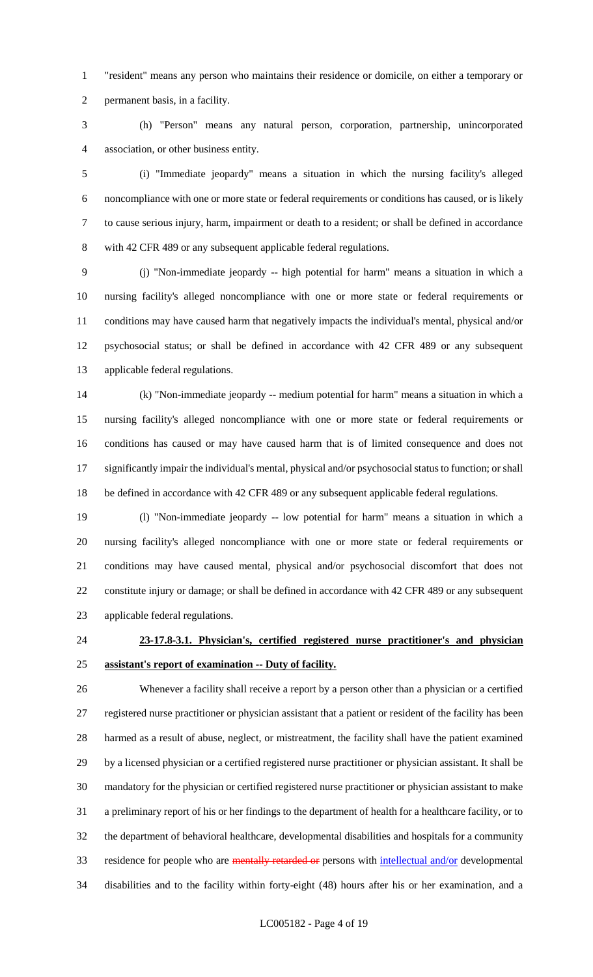"resident" means any person who maintains their residence or domicile, on either a temporary or permanent basis, in a facility.

 (h) "Person" means any natural person, corporation, partnership, unincorporated association, or other business entity.

 (i) "Immediate jeopardy" means a situation in which the nursing facility's alleged noncompliance with one or more state or federal requirements or conditions has caused, or is likely to cause serious injury, harm, impairment or death to a resident; or shall be defined in accordance with 42 CFR 489 or any subsequent applicable federal regulations.

 (j) "Non-immediate jeopardy -- high potential for harm" means a situation in which a nursing facility's alleged noncompliance with one or more state or federal requirements or conditions may have caused harm that negatively impacts the individual's mental, physical and/or psychosocial status; or shall be defined in accordance with 42 CFR 489 or any subsequent applicable federal regulations.

 (k) "Non-immediate jeopardy -- medium potential for harm" means a situation in which a nursing facility's alleged noncompliance with one or more state or federal requirements or conditions has caused or may have caused harm that is of limited consequence and does not significantly impair the individual's mental, physical and/or psychosocial status to function; or shall 18 be defined in accordance with 42 CFR 489 or any subsequent applicable federal regulations.

 (l) "Non-immediate jeopardy -- low potential for harm" means a situation in which a nursing facility's alleged noncompliance with one or more state or federal requirements or conditions may have caused mental, physical and/or psychosocial discomfort that does not constitute injury or damage; or shall be defined in accordance with 42 CFR 489 or any subsequent applicable federal regulations.

# **23-17.8-3.1. Physician's, certified registered nurse practitioner's and physician assistant's report of examination -- Duty of facility.**

 Whenever a facility shall receive a report by a person other than a physician or a certified registered nurse practitioner or physician assistant that a patient or resident of the facility has been harmed as a result of abuse, neglect, or mistreatment, the facility shall have the patient examined by a licensed physician or a certified registered nurse practitioner or physician assistant. It shall be mandatory for the physician or certified registered nurse practitioner or physician assistant to make a preliminary report of his or her findings to the department of health for a healthcare facility, or to the department of behavioral healthcare, developmental disabilities and hospitals for a community 33 residence for people who are mentally retarded or persons with intellectual and/or developmental disabilities and to the facility within forty-eight (48) hours after his or her examination, and a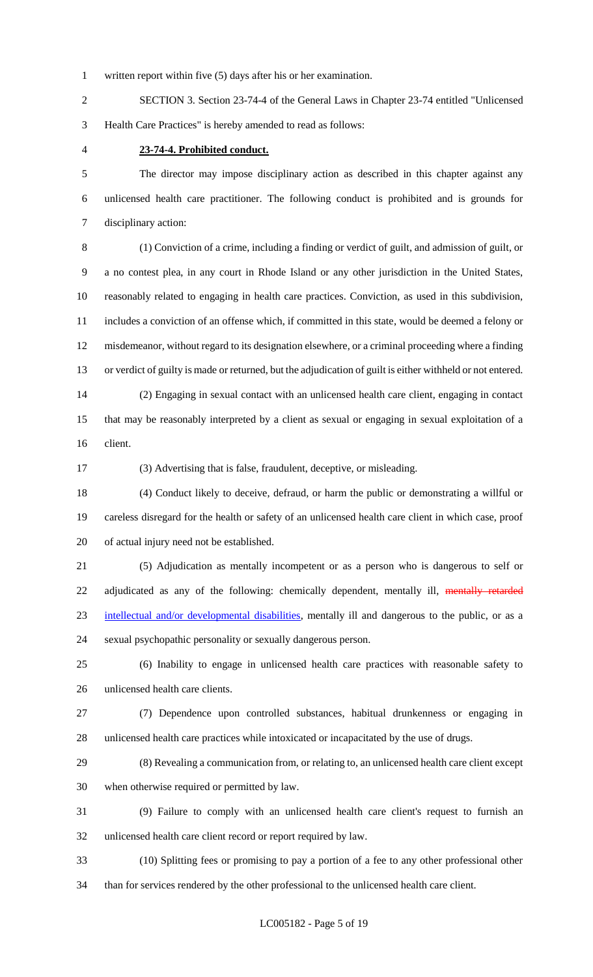written report within five (5) days after his or her examination.

 SECTION 3. Section 23-74-4 of the General Laws in Chapter 23-74 entitled "Unlicensed Health Care Practices" is hereby amended to read as follows:

#### **23-74-4. Prohibited conduct.**

 The director may impose disciplinary action as described in this chapter against any unlicensed health care practitioner. The following conduct is prohibited and is grounds for disciplinary action:

 (1) Conviction of a crime, including a finding or verdict of guilt, and admission of guilt, or a no contest plea, in any court in Rhode Island or any other jurisdiction in the United States, reasonably related to engaging in health care practices. Conviction, as used in this subdivision, includes a conviction of an offense which, if committed in this state, would be deemed a felony or misdemeanor, without regard to its designation elsewhere, or a criminal proceeding where a finding or verdict of guilty is made or returned, but the adjudication of guilt is either withheld or not entered. (2) Engaging in sexual contact with an unlicensed health care client, engaging in contact that may be reasonably interpreted by a client as sexual or engaging in sexual exploitation of a

client.

(3) Advertising that is false, fraudulent, deceptive, or misleading.

 (4) Conduct likely to deceive, defraud, or harm the public or demonstrating a willful or careless disregard for the health or safety of an unlicensed health care client in which case, proof of actual injury need not be established.

 (5) Adjudication as mentally incompetent or as a person who is dangerous to self or 22 adjudicated as any of the following: chemically dependent, mentally ill, mentally retarded intellectual and/or developmental disabilities, mentally ill and dangerous to the public, or as a sexual psychopathic personality or sexually dangerous person.

 (6) Inability to engage in unlicensed health care practices with reasonable safety to unlicensed health care clients.

 (7) Dependence upon controlled substances, habitual drunkenness or engaging in unlicensed health care practices while intoxicated or incapacitated by the use of drugs.

 (8) Revealing a communication from, or relating to, an unlicensed health care client except when otherwise required or permitted by law.

 (9) Failure to comply with an unlicensed health care client's request to furnish an unlicensed health care client record or report required by law.

(10) Splitting fees or promising to pay a portion of a fee to any other professional other

than for services rendered by the other professional to the unlicensed health care client.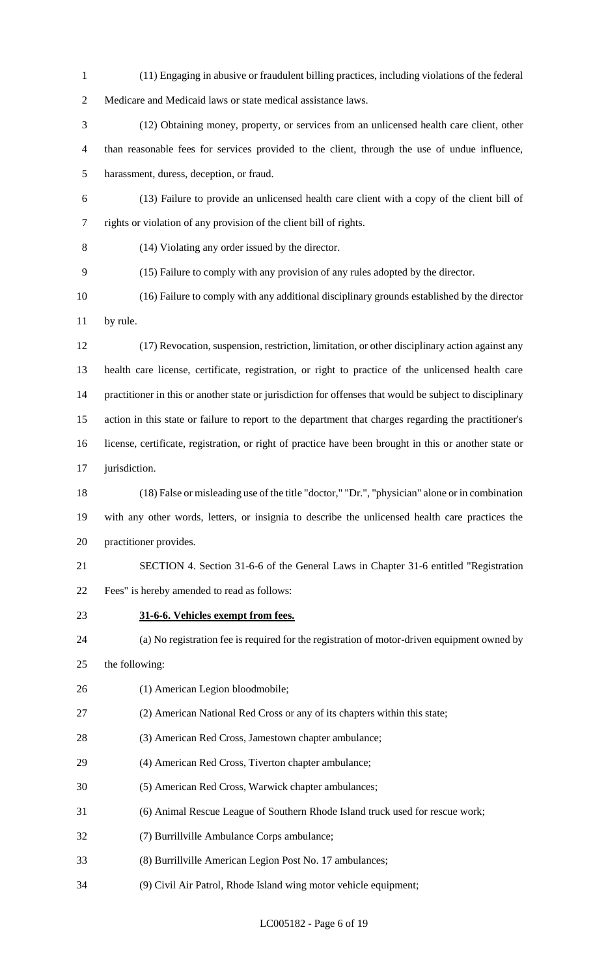(11) Engaging in abusive or fraudulent billing practices, including violations of the federal

Medicare and Medicaid laws or state medical assistance laws.

 (12) Obtaining money, property, or services from an unlicensed health care client, other than reasonable fees for services provided to the client, through the use of undue influence, harassment, duress, deception, or fraud.

- (13) Failure to provide an unlicensed health care client with a copy of the client bill of rights or violation of any provision of the client bill of rights.
- (14) Violating any order issued by the director.
- (15) Failure to comply with any provision of any rules adopted by the director.
- (16) Failure to comply with any additional disciplinary grounds established by the director by rule.
- (17) Revocation, suspension, restriction, limitation, or other disciplinary action against any health care license, certificate, registration, or right to practice of the unlicensed health care practitioner in this or another state or jurisdiction for offenses that would be subject to disciplinary action in this state or failure to report to the department that charges regarding the practitioner's license, certificate, registration, or right of practice have been brought in this or another state or 17 jurisdiction.
- (18) False or misleading use of the title "doctor," "Dr.", "physician" alone or in combination with any other words, letters, or insignia to describe the unlicensed health care practices the practitioner provides.
- SECTION 4. Section 31-6-6 of the General Laws in Chapter 31-6 entitled "Registration Fees" is hereby amended to read as follows:
- 
- **31-6-6. Vehicles exempt from fees.**
- (a) No registration fee is required for the registration of motor-driven equipment owned by
- the following:
- (1) American Legion bloodmobile;
- (2) American National Red Cross or any of its chapters within this state;
- (3) American Red Cross, Jamestown chapter ambulance;
- (4) American Red Cross, Tiverton chapter ambulance;
- (5) American Red Cross, Warwick chapter ambulances;
- (6) Animal Rescue League of Southern Rhode Island truck used for rescue work;
- (7) Burrillville Ambulance Corps ambulance;
- (8) Burrillville American Legion Post No. 17 ambulances;
- (9) Civil Air Patrol, Rhode Island wing motor vehicle equipment;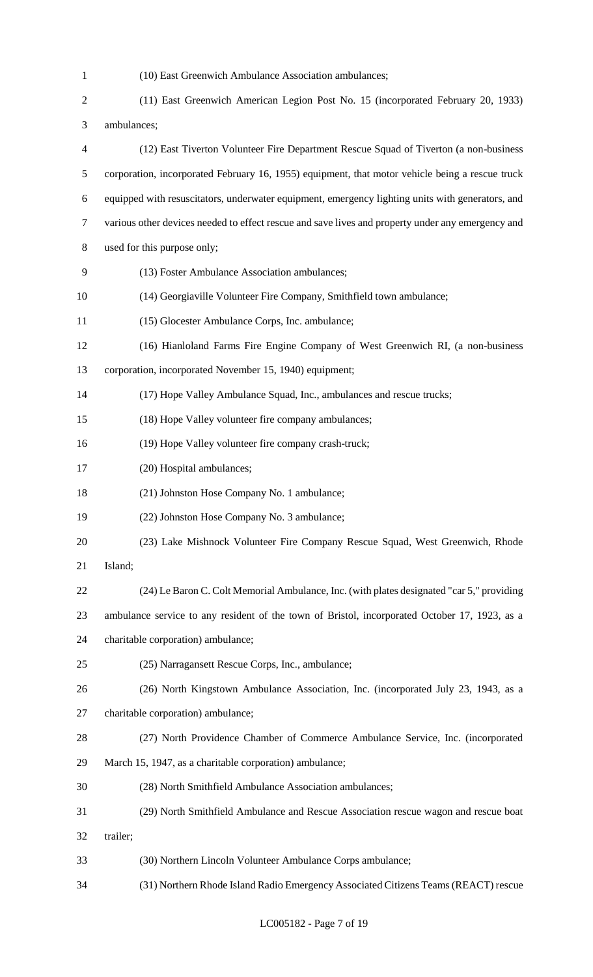(10) East Greenwich Ambulance Association ambulances; (11) East Greenwich American Legion Post No. 15 (incorporated February 20, 1933) ambulances; (12) East Tiverton Volunteer Fire Department Rescue Squad of Tiverton (a non-business corporation, incorporated February 16, 1955) equipment, that motor vehicle being a rescue truck equipped with resuscitators, underwater equipment, emergency lighting units with generators, and various other devices needed to effect rescue and save lives and property under any emergency and used for this purpose only; (13) Foster Ambulance Association ambulances; (14) Georgiaville Volunteer Fire Company, Smithfield town ambulance; (15) Glocester Ambulance Corps, Inc. ambulance; (16) Hianloland Farms Fire Engine Company of West Greenwich RI, (a non-business corporation, incorporated November 15, 1940) equipment; (17) Hope Valley Ambulance Squad, Inc., ambulances and rescue trucks; (18) Hope Valley volunteer fire company ambulances; (19) Hope Valley volunteer fire company crash-truck; (20) Hospital ambulances; (21) Johnston Hose Company No. 1 ambulance; (22) Johnston Hose Company No. 3 ambulance; (23) Lake Mishnock Volunteer Fire Company Rescue Squad, West Greenwich, Rhode Island; (24) Le Baron C. Colt Memorial Ambulance, Inc. (with plates designated "car 5," providing ambulance service to any resident of the town of Bristol, incorporated October 17, 1923, as a charitable corporation) ambulance; (25) Narragansett Rescue Corps, Inc., ambulance; (26) North Kingstown Ambulance Association, Inc. (incorporated July 23, 1943, as a charitable corporation) ambulance; (27) North Providence Chamber of Commerce Ambulance Service, Inc. (incorporated March 15, 1947, as a charitable corporation) ambulance; (28) North Smithfield Ambulance Association ambulances; (29) North Smithfield Ambulance and Rescue Association rescue wagon and rescue boat trailer; (30) Northern Lincoln Volunteer Ambulance Corps ambulance; (31) Northern Rhode Island Radio Emergency Associated Citizens Teams (REACT) rescue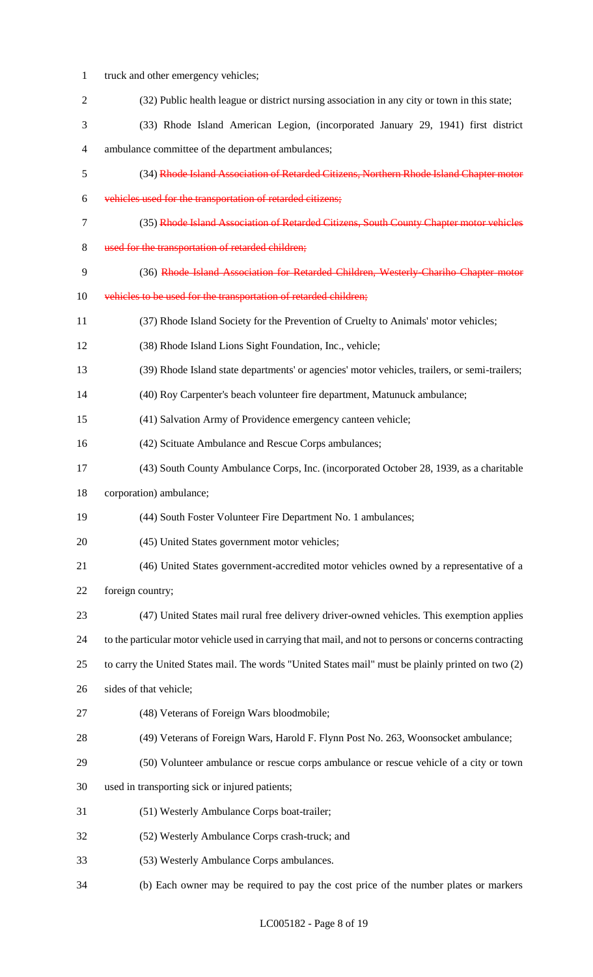truck and other emergency vehicles; (32) Public health league or district nursing association in any city or town in this state; (33) Rhode Island American Legion, (incorporated January 29, 1941) first district ambulance committee of the department ambulances; (34) Rhode Island Association of Retarded Citizens, Northern Rhode Island Chapter motor vehicles used for the transportation of retarded citizens; (35) Rhode Island Association of Retarded Citizens, South County Chapter motor vehicles used for the transportation of retarded children; 9 (36) Rhode Island Association for Retarded Children, Westerly-Chariho Chapter motor 10 vehicles to be used for the transportation of retarded children; (37) Rhode Island Society for the Prevention of Cruelty to Animals' motor vehicles; (38) Rhode Island Lions Sight Foundation, Inc., vehicle; (39) Rhode Island state departments' or agencies' motor vehicles, trailers, or semi-trailers; (40) Roy Carpenter's beach volunteer fire department, Matunuck ambulance; (41) Salvation Army of Providence emergency canteen vehicle; (42) Scituate Ambulance and Rescue Corps ambulances; (43) South County Ambulance Corps, Inc. (incorporated October 28, 1939, as a charitable corporation) ambulance; (44) South Foster Volunteer Fire Department No. 1 ambulances; (45) United States government motor vehicles; (46) United States government-accredited motor vehicles owned by a representative of a foreign country; (47) United States mail rural free delivery driver-owned vehicles. This exemption applies to the particular motor vehicle used in carrying that mail, and not to persons or concerns contracting to carry the United States mail. The words "United States mail" must be plainly printed on two (2) sides of that vehicle; (48) Veterans of Foreign Wars bloodmobile; (49) Veterans of Foreign Wars, Harold F. Flynn Post No. 263, Woonsocket ambulance; (50) Volunteer ambulance or rescue corps ambulance or rescue vehicle of a city or town used in transporting sick or injured patients; (51) Westerly Ambulance Corps boat-trailer; (52) Westerly Ambulance Corps crash-truck; and (53) Westerly Ambulance Corps ambulances. (b) Each owner may be required to pay the cost price of the number plates or markers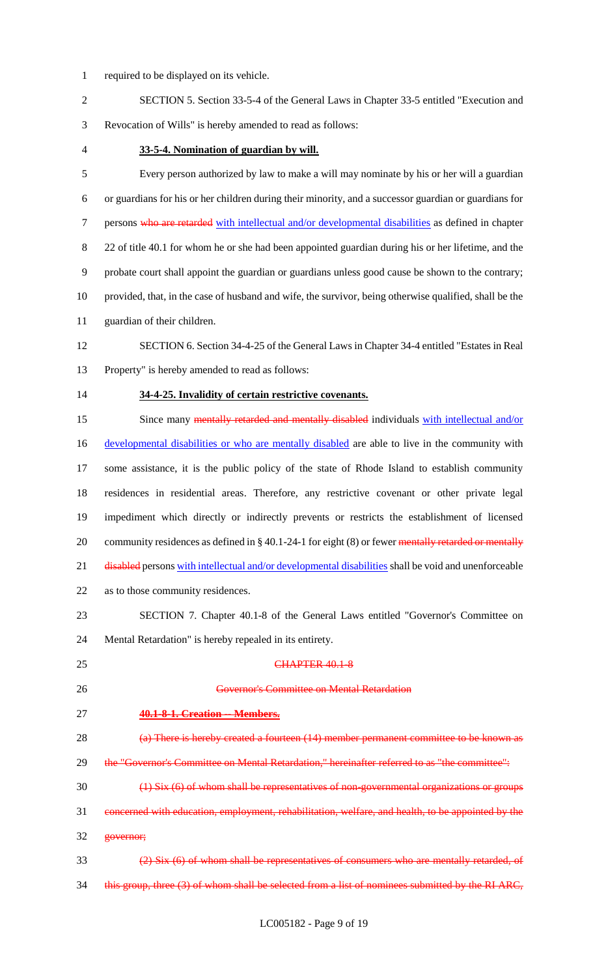- required to be displayed on its vehicle.
- SECTION 5. Section 33-5-4 of the General Laws in Chapter 33-5 entitled "Execution and Revocation of Wills" is hereby amended to read as follows:
- 

#### **33-5-4. Nomination of guardian by will.**

 Every person authorized by law to make a will may nominate by his or her will a guardian or guardians for his or her children during their minority, and a successor guardian or guardians for 7 persons who are retarded with intellectual and/or developmental disabilities as defined in chapter 22 of title 40.1 for whom he or she had been appointed guardian during his or her lifetime, and the probate court shall appoint the guardian or guardians unless good cause be shown to the contrary; provided, that, in the case of husband and wife, the survivor, being otherwise qualified, shall be the guardian of their children.

 SECTION 6. Section 34-4-25 of the General Laws in Chapter 34-4 entitled "Estates in Real Property" is hereby amended to read as follows:

#### **34-4-25. Invalidity of certain restrictive covenants.**

15 Since many mentally retarded and mentally disabled individuals with intellectual and/or 16 developmental disabilities or who are mentally disabled are able to live in the community with some assistance, it is the public policy of the state of Rhode Island to establish community residences in residential areas. Therefore, any restrictive covenant or other private legal impediment which directly or indirectly prevents or restricts the establishment of licensed 20 community residences as defined in § 40.1-24-1 for eight (8) or fewer mentally retarded or mentally 21 disabled persons with intellectual and/or developmental disabilities shall be void and unenforceable as to those community residences.

 SECTION 7. Chapter 40.1-8 of the General Laws entitled "Governor's Committee on Mental Retardation" is hereby repealed in its entirety.

- 25 CHAPTER 40.1-8
- Governor's Committee on Mental Retardation

governor;

#### **40.1-8-1. Creation -- Members.**

- (a) There is hereby created a fourteen (14) member permanent committee to be known as 29 the "Governor's Committee on Mental Retardation," hereinafter referred to as "the committee":
- (1) Six (6) of whom shall be representatives of non-governmental organizations or groups
- concerned with education, employment, rehabilitation, welfare, and health, to be appointed by the
- (2) Six (6) of whom shall be representatives of consumers who are mentally retarded, of 34 this group, three (3) of whom shall be selected from a list of nominees submitted by the RI ARC,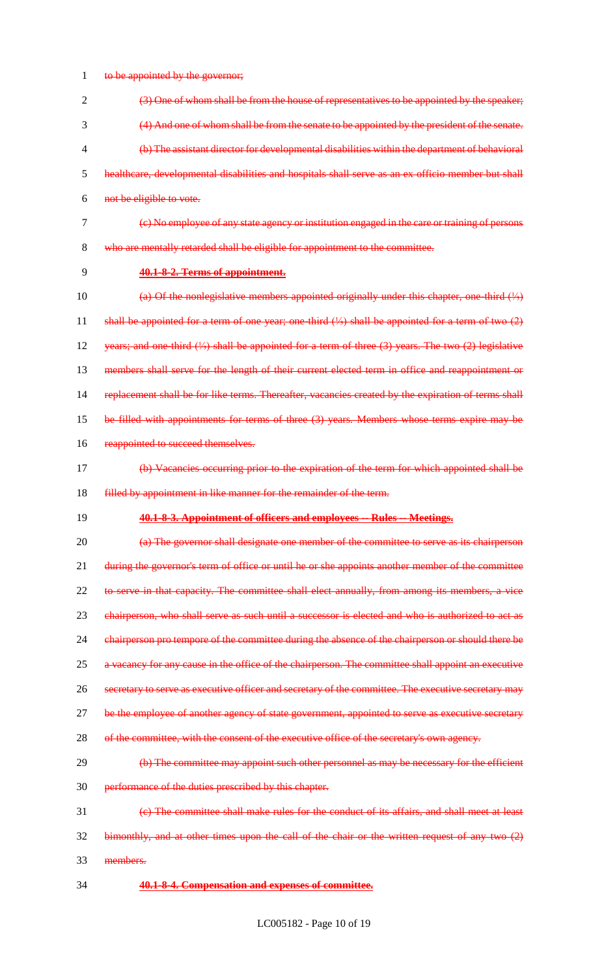1 to be appointed by the governor;

 (3) One of whom shall be from the house of representatives to be appointed by the speaker; (4) And one of whom shall be from the senate to be appointed by the president of the senate. (b) The assistant director for developmental disabilities within the department of behavioral healthcare, developmental disabilities and hospitals shall serve as an ex officio member but shall not be eligible to vote.

- (c) No employee of any state agency or institution engaged in the care or training of persons who are mentally retarded shall be eligible for appointment to the committee.
- 

#### **40.1-8-2. Terms of appointment.**

 (a) Of the nonlegislative members appointed originally under this chapter, one-third (⅓) shall be appointed for a term of one year; one-third (⅓) shall be appointed for a term of two (2) years; and one-third (⅓) shall be appointed for a term of three (3) years. The two (2) legislative 13 members shall serve for the length of their current elected term in office and reappointment or replacement shall be for like terms. Thereafter, vacancies created by the expiration of terms shall be filled with appointments for terms of three (3) years. Members whose terms expire may be 16 reappointed to succeed themselves.

- (b) Vacancies occurring prior to the expiration of the term for which appointed shall be **filled by appointment in like manner for the remainder of the term.**
- 

# **40.1-8-3. Appointment of officers and employees -- Rules -- Meetings.**

20 (a) The governor shall designate one member of the committee to serve as its chairperson 21 during the governor's term of office or until he or she appoints another member of the committee 22 to serve in that capacity. The committee shall elect annually, from among its members, a vice 23 chairperson, who shall serve as such until a successor is elected and who is authorized to act as 24 chairperson pro tempore of the committee during the absence of the chairperson or should there be a vacancy for any cause in the office of the chairperson. The committee shall appoint an executive secretary to serve as executive officer and secretary of the committee. The executive secretary may 27 be the employee of another agency of state government, appointed to serve as executive secretary 28 of the committee, with the consent of the executive office of the secretary's own agency.

- 29 (b) The committee may appoint such other personnel as may be necessary for the efficient
- performance of the duties prescribed by this chapter.
- (c) The committee shall make rules for the conduct of its affairs, and shall meet at least
- bimonthly, and at other times upon the call of the chair or the written request of any two  $(2)$
- members.
- **40.1-8-4. Compensation and expenses of committee.**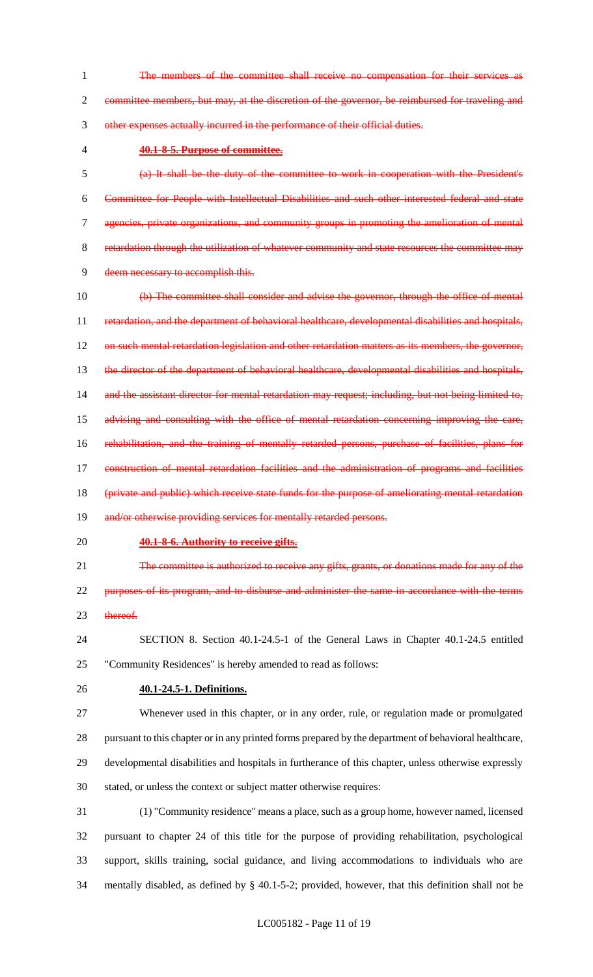1 The members of the committee shall receive no compensation for their services committee members, but may, at the discretion of the governor, be reimbursed for traveling and other expenses actually incurred in the performance of their official duties.

#### **40.1-8-5. Purpose of committee.**

 (a) It shall be the duty of the committee to work in cooperation with the President's Committee for People with Intellectual Disabilities and such other interested federal and state agencies, private organizations, and community groups in promoting the amelioration of mental retardation through the utilization of whatever community and state resources the committee may deem necessary to accomplish this.

 (b) The committee shall consider and advise the governor, through the office of mental 11 retardation, and the department of behavioral healthcare, developmental disabilities and hospitals, 12 on such mental retardation legislation and other retardation matters as its members, the governor, 13 the director of the department of behavioral healthcare, developmental disabilities and hospitals, and the assistant director for mental retardation may request; including, but not being limited to, advising and consulting with the office of mental retardation concerning improving the care, 16 rehabilitation, and the training of mentally retarded persons, purchase of facilities, plans for 17 construction of mental retardation facilities and the administration of programs and facilities (private and public) which receive state funds for the purpose of ameliorating mental retardation 19 and/or otherwise providing services for mentally retarded persons.

# **40.1-8-6. Authority to receive gifts.**

21 The committee is authorized to receive any gifts, grants, or donations made for any of the

 purposes of its program, and to disburse and administer the same in accordance with the terms 23 thereof.

 SECTION 8. Section 40.1-24.5-1 of the General Laws in Chapter 40.1-24.5 entitled "Community Residences" is hereby amended to read as follows:

- **40.1-24.5-1. Definitions.**
- Whenever used in this chapter, or in any order, rule, or regulation made or promulgated

 pursuant to this chapter or in any printed forms prepared by the department of behavioral healthcare, developmental disabilities and hospitals in furtherance of this chapter, unless otherwise expressly stated, or unless the context or subject matter otherwise requires:

 (1) "Community residence" means a place, such as a group home, however named, licensed pursuant to chapter 24 of this title for the purpose of providing rehabilitation, psychological support, skills training, social guidance, and living accommodations to individuals who are mentally disabled, as defined by § 40.1-5-2; provided, however, that this definition shall not be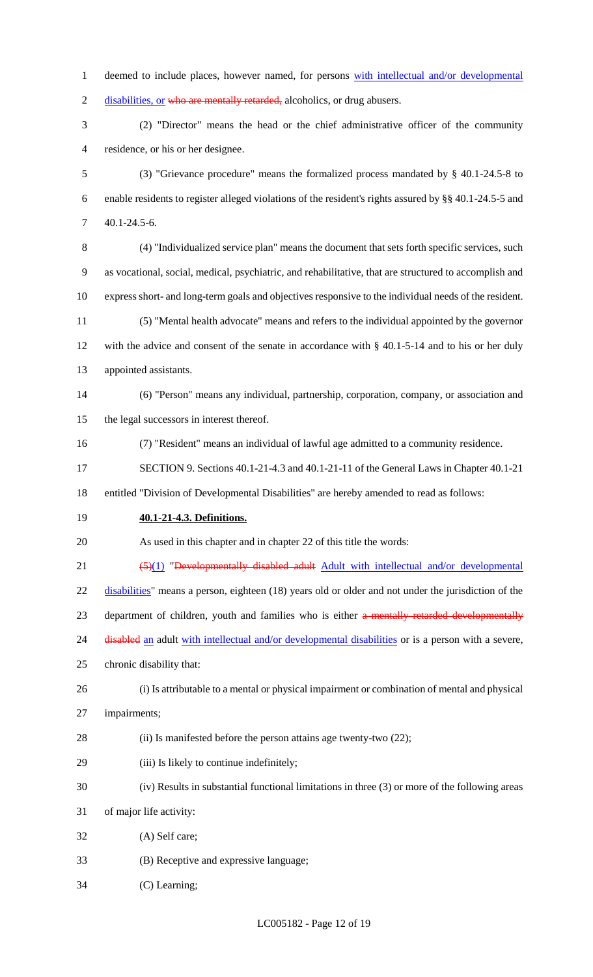1 deemed to include places, however named, for persons with intellectual and/or developmental 2 disabilities, or who are mentally retarded, alcoholics, or drug abusers. (2) "Director" means the head or the chief administrative officer of the community residence, or his or her designee. (3) "Grievance procedure" means the formalized process mandated by § 40.1-24.5-8 to enable residents to register alleged violations of the resident's rights assured by §§ 40.1-24.5-5 and 40.1-24.5-6. (4) "Individualized service plan" means the document that sets forth specific services, such as vocational, social, medical, psychiatric, and rehabilitative, that are structured to accomplish and express short- and long-term goals and objectives responsive to the individual needs of the resident. (5) "Mental health advocate" means and refers to the individual appointed by the governor with the advice and consent of the senate in accordance with § 40.1-5-14 and to his or her duly appointed assistants. (6) "Person" means any individual, partnership, corporation, company, or association and the legal successors in interest thereof. (7) "Resident" means an individual of lawful age admitted to a community residence. SECTION 9. Sections 40.1-21-4.3 and 40.1-21-11 of the General Laws in Chapter 40.1-21 entitled "Division of Developmental Disabilities" are hereby amended to read as follows: **40.1-21-4.3. Definitions.** As used in this chapter and in chapter 22 of this title the words: 21 (5)(1) "Developmentally disabled adult Adult with intellectual and/or developmental 22 disabilities" means a person, eighteen (18) years old or older and not under the jurisdiction of the 23 department of children, youth and families who is either a mentally retarded developmentally 24 disabled an adult with intellectual and/or developmental disabilities or is a person with a severe, chronic disability that: (i) Is attributable to a mental or physical impairment or combination of mental and physical impairments; (ii) Is manifested before the person attains age twenty-two (22); (iii) Is likely to continue indefinitely; (iv) Results in substantial functional limitations in three (3) or more of the following areas of major life activity: (A) Self care; (B) Receptive and expressive language;

(C) Learning;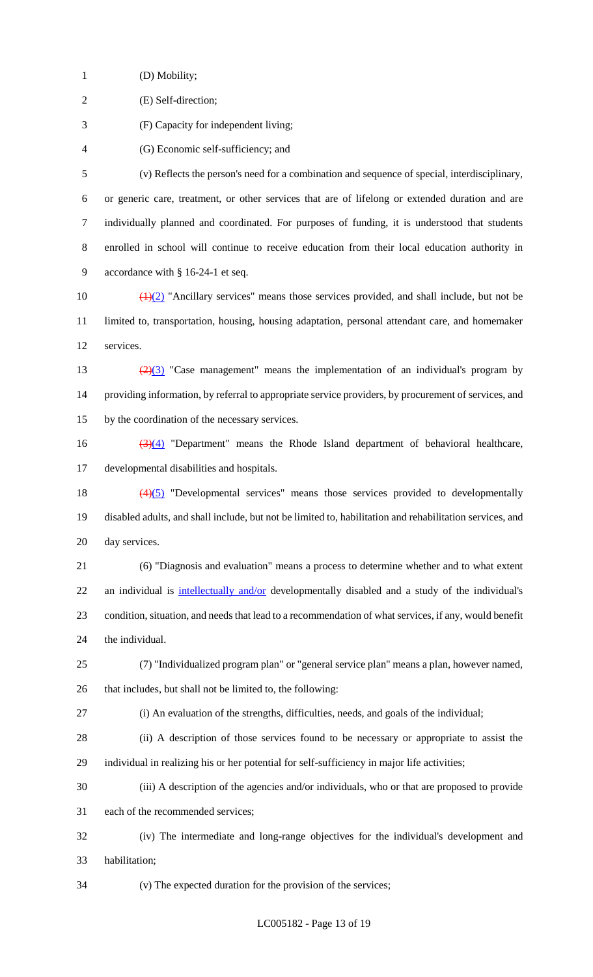(D) Mobility;

(E) Self-direction;

(F) Capacity for independent living;

(G) Economic self-sufficiency; and

 (v) Reflects the person's need for a combination and sequence of special, interdisciplinary, or generic care, treatment, or other services that are of lifelong or extended duration and are individually planned and coordinated. For purposes of funding, it is understood that students enrolled in school will continue to receive education from their local education authority in accordance with § 16-24-1 et seq.

10  $\left(\frac{1}{2}\right)$  "Ancillary services" means those services provided, and shall include, but not be limited to, transportation, housing, housing adaptation, personal attendant care, and homemaker services.

13  $\frac{(2)(3)}{2}$  "Case management" means the implementation of an individual's program by providing information, by referral to appropriate service providers, by procurement of services, and by the coordination of the necessary services.

16  $(3)(4)$  "Department" means the Rhode Island department of behavioral healthcare, developmental disabilities and hospitals.

 (4)(5) "Developmental services" means those services provided to developmentally disabled adults, and shall include, but not be limited to, habilitation and rehabilitation services, and day services.

 (6) "Diagnosis and evaluation" means a process to determine whether and to what extent 22 an individual is intellectually and/or developmentally disabled and a study of the individual's condition, situation, and needs that lead to a recommendation of what services, if any, would benefit the individual.

(7) "Individualized program plan" or "general service plan" means a plan, however named,

that includes, but shall not be limited to, the following:

(i) An evaluation of the strengths, difficulties, needs, and goals of the individual;

 (ii) A description of those services found to be necessary or appropriate to assist the individual in realizing his or her potential for self-sufficiency in major life activities;

(iii) A description of the agencies and/or individuals, who or that are proposed to provide

each of the recommended services;

 (iv) The intermediate and long-range objectives for the individual's development and habilitation;

(v) The expected duration for the provision of the services;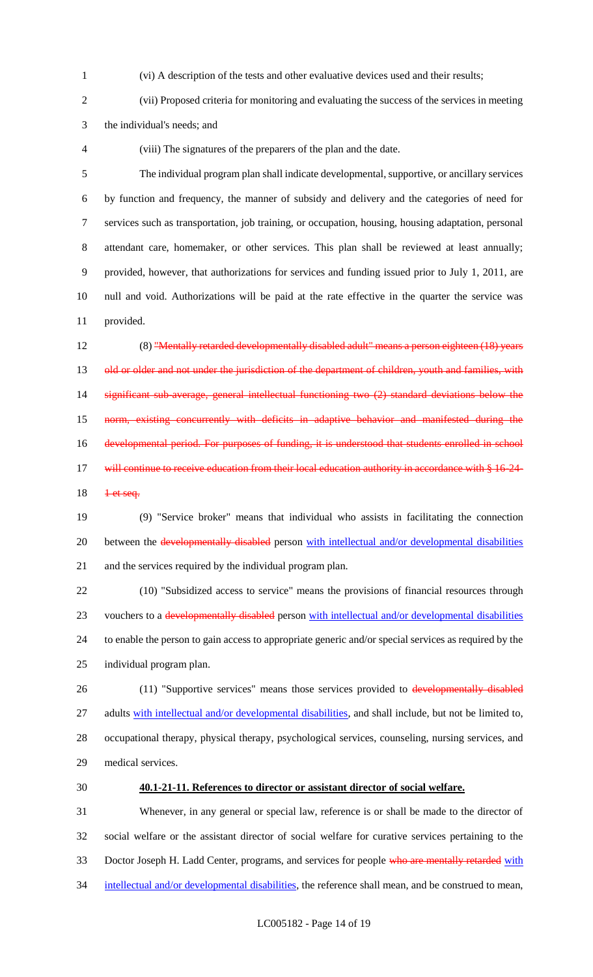(vi) A description of the tests and other evaluative devices used and their results;

 (vii) Proposed criteria for monitoring and evaluating the success of the services in meeting the individual's needs; and

(viii) The signatures of the preparers of the plan and the date.

 The individual program plan shall indicate developmental, supportive, or ancillary services by function and frequency, the manner of subsidy and delivery and the categories of need for services such as transportation, job training, or occupation, housing, housing adaptation, personal attendant care, homemaker, or other services. This plan shall be reviewed at least annually; provided, however, that authorizations for services and funding issued prior to July 1, 2011, are null and void. Authorizations will be paid at the rate effective in the quarter the service was provided.

 (8) "Mentally retarded developmentally disabled adult" means a person eighteen (18) years 13 old or older and not under the jurisdiction of the department of children, youth and families, with 14 significant sub-average, general intellectual functioning two (2) standard deviations below the norm, existing concurrently with deficits in adaptive behavior and manifested during the 16 developmental period. For purposes of funding, it is understood that students enrolled in school 17 will continue to receive education from their local education authority in accordance with § 16-24-<del>1 et seq.</del>

 (9) "Service broker" means that individual who assists in facilitating the connection 20 between the developmentally disabled person with intellectual and/or developmental disabilities and the services required by the individual program plan.

 (10) "Subsidized access to service" means the provisions of financial resources through 23 vouchers to a developmentally disabled person with intellectual and/or developmental disabilities to enable the person to gain access to appropriate generic and/or special services as required by the individual program plan.

26 (11) "Supportive services" means those services provided to developmentally disabled 27 adults with intellectual and/or developmental disabilities, and shall include, but not be limited to, occupational therapy, physical therapy, psychological services, counseling, nursing services, and medical services.

#### **40.1-21-11. References to director or assistant director of social welfare.**

 Whenever, in any general or special law, reference is or shall be made to the director of social welfare or the assistant director of social welfare for curative services pertaining to the 33 Doctor Joseph H. Ladd Center, programs, and services for people who are mentally retarded with 34 intellectual and/or developmental disabilities, the reference shall mean, and be construed to mean,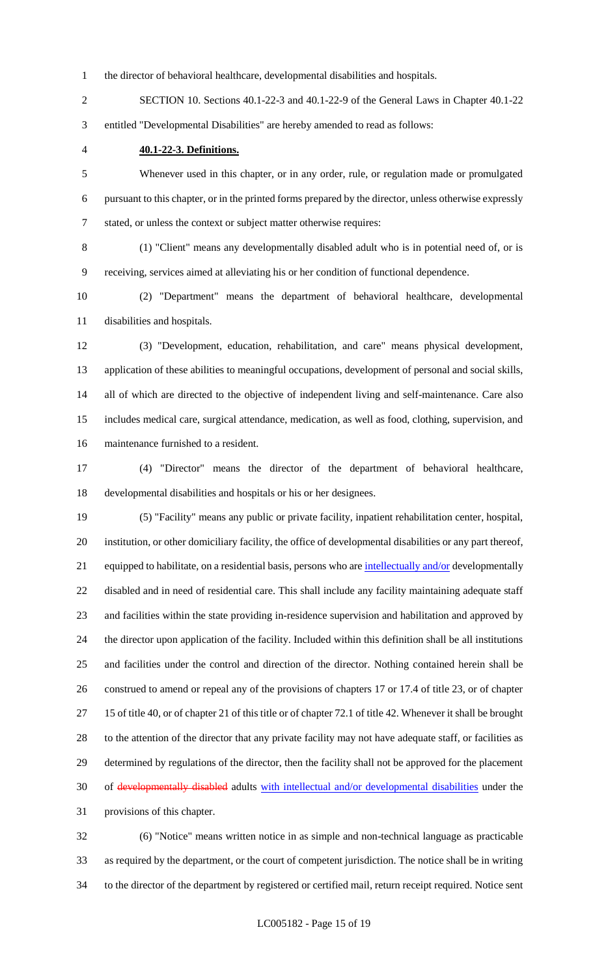the director of behavioral healthcare, developmental disabilities and hospitals.

 SECTION 10. Sections 40.1-22-3 and 40.1-22-9 of the General Laws in Chapter 40.1-22 entitled "Developmental Disabilities" are hereby amended to read as follows:

**40.1-22-3. Definitions.**

 Whenever used in this chapter, or in any order, rule, or regulation made or promulgated pursuant to this chapter, or in the printed forms prepared by the director, unless otherwise expressly stated, or unless the context or subject matter otherwise requires:

 (1) "Client" means any developmentally disabled adult who is in potential need of, or is receiving, services aimed at alleviating his or her condition of functional dependence.

 (2) "Department" means the department of behavioral healthcare, developmental disabilities and hospitals.

 (3) "Development, education, rehabilitation, and care" means physical development, application of these abilities to meaningful occupations, development of personal and social skills, all of which are directed to the objective of independent living and self-maintenance. Care also includes medical care, surgical attendance, medication, as well as food, clothing, supervision, and maintenance furnished to a resident.

 (4) "Director" means the director of the department of behavioral healthcare, developmental disabilities and hospitals or his or her designees.

 (5) "Facility" means any public or private facility, inpatient rehabilitation center, hospital, institution, or other domiciliary facility, the office of developmental disabilities or any part thereof, 21 equipped to habilitate, on a residential basis, persons who are intellectually and/or developmentally disabled and in need of residential care. This shall include any facility maintaining adequate staff and facilities within the state providing in-residence supervision and habilitation and approved by the director upon application of the facility. Included within this definition shall be all institutions and facilities under the control and direction of the director. Nothing contained herein shall be construed to amend or repeal any of the provisions of chapters 17 or 17.4 of title 23, or of chapter 15 of title 40, or of chapter 21 of this title or of chapter 72.1 of title 42. Whenever it shall be brought 28 to the attention of the director that any private facility may not have adequate staff, or facilities as determined by regulations of the director, then the facility shall not be approved for the placement of developmentally disabled adults with intellectual and/or developmental disabilities under the provisions of this chapter.

 (6) "Notice" means written notice in as simple and non-technical language as practicable as required by the department, or the court of competent jurisdiction. The notice shall be in writing to the director of the department by registered or certified mail, return receipt required. Notice sent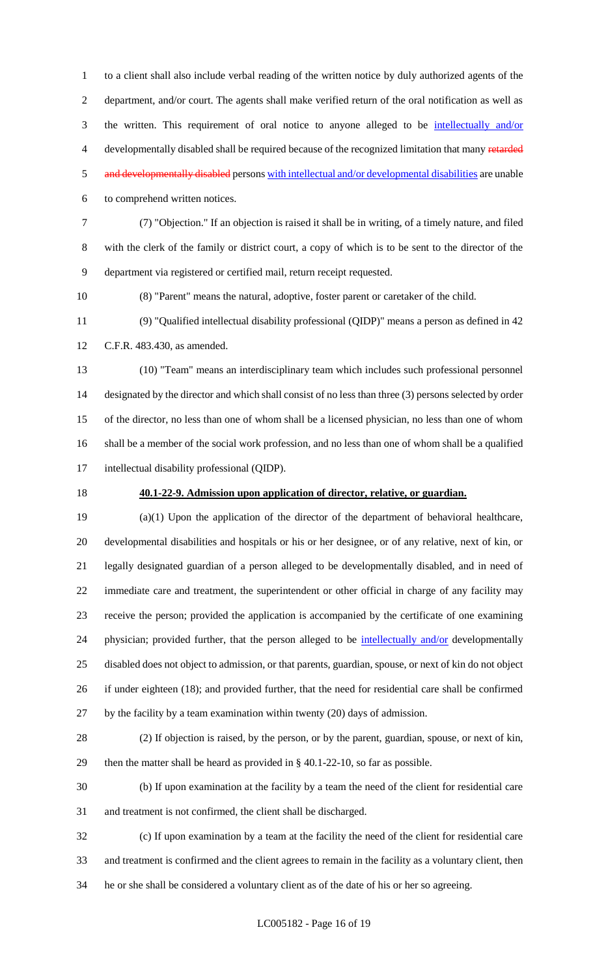to a client shall also include verbal reading of the written notice by duly authorized agents of the department, and/or court. The agents shall make verified return of the oral notification as well as the written. This requirement of oral notice to anyone alleged to be intellectually and/or 4 developmentally disabled shall be required because of the recognized limitation that many retarded 5 and developmentally disabled persons with intellectual and/or developmental disabilities are unable to comprehend written notices.

 (7) "Objection." If an objection is raised it shall be in writing, of a timely nature, and filed with the clerk of the family or district court, a copy of which is to be sent to the director of the department via registered or certified mail, return receipt requested.

(8) "Parent" means the natural, adoptive, foster parent or caretaker of the child.

 (9) "Qualified intellectual disability professional (QIDP)" means a person as defined in 42 C.F.R. 483.430, as amended.

 (10) "Team" means an interdisciplinary team which includes such professional personnel designated by the director and which shall consist of no less than three (3) persons selected by order of the director, no less than one of whom shall be a licensed physician, no less than one of whom shall be a member of the social work profession, and no less than one of whom shall be a qualified intellectual disability professional (QIDP).

#### **40.1-22-9. Admission upon application of director, relative, or guardian.**

 (a)(1) Upon the application of the director of the department of behavioral healthcare, developmental disabilities and hospitals or his or her designee, or of any relative, next of kin, or legally designated guardian of a person alleged to be developmentally disabled, and in need of immediate care and treatment, the superintendent or other official in charge of any facility may receive the person; provided the application is accompanied by the certificate of one examining 24 physician; provided further, that the person alleged to be intellectually and/or developmentally disabled does not object to admission, or that parents, guardian, spouse, or next of kin do not object if under eighteen (18); and provided further, that the need for residential care shall be confirmed by the facility by a team examination within twenty (20) days of admission.

 (2) If objection is raised, by the person, or by the parent, guardian, spouse, or next of kin, then the matter shall be heard as provided in § 40.1-22-10, so far as possible.

 (b) If upon examination at the facility by a team the need of the client for residential care and treatment is not confirmed, the client shall be discharged.

 (c) If upon examination by a team at the facility the need of the client for residential care and treatment is confirmed and the client agrees to remain in the facility as a voluntary client, then he or she shall be considered a voluntary client as of the date of his or her so agreeing.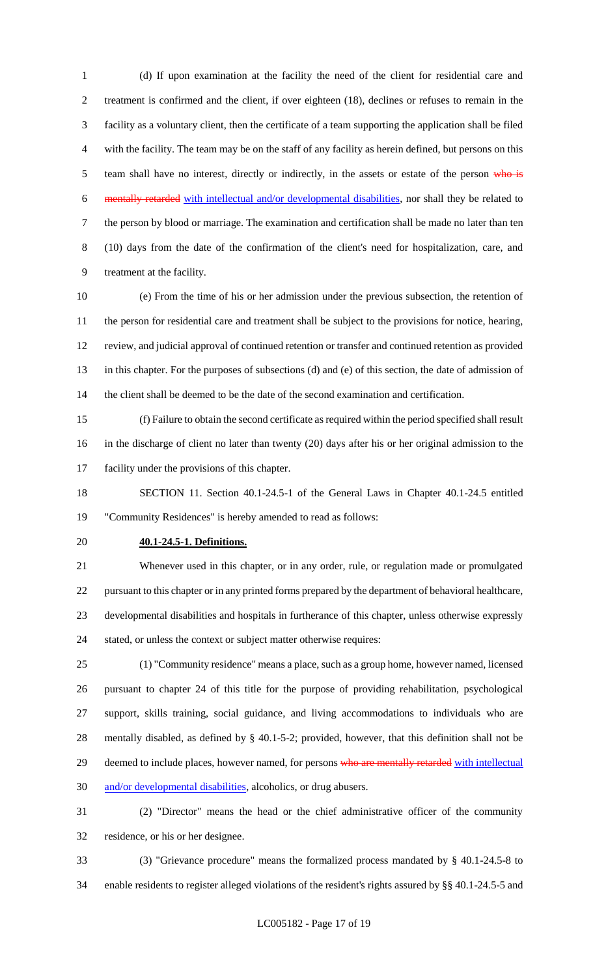(d) If upon examination at the facility the need of the client for residential care and treatment is confirmed and the client, if over eighteen (18), declines or refuses to remain in the facility as a voluntary client, then the certificate of a team supporting the application shall be filed with the facility. The team may be on the staff of any facility as herein defined, but persons on this 5 team shall have no interest, directly or indirectly, in the assets or estate of the person who is mentally retarded with intellectual and/or developmental disabilities, nor shall they be related to the person by blood or marriage. The examination and certification shall be made no later than ten (10) days from the date of the confirmation of the client's need for hospitalization, care, and treatment at the facility.

 (e) From the time of his or her admission under the previous subsection, the retention of the person for residential care and treatment shall be subject to the provisions for notice, hearing, review, and judicial approval of continued retention or transfer and continued retention as provided in this chapter. For the purposes of subsections (d) and (e) of this section, the date of admission of the client shall be deemed to be the date of the second examination and certification.

 (f) Failure to obtain the second certificate as required within the period specified shall result in the discharge of client no later than twenty (20) days after his or her original admission to the facility under the provisions of this chapter.

 SECTION 11. Section 40.1-24.5-1 of the General Laws in Chapter 40.1-24.5 entitled "Community Residences" is hereby amended to read as follows:

#### **40.1-24.5-1. Definitions.**

 Whenever used in this chapter, or in any order, rule, or regulation made or promulgated pursuant to this chapter or in any printed forms prepared by the department of behavioral healthcare, developmental disabilities and hospitals in furtherance of this chapter, unless otherwise expressly stated, or unless the context or subject matter otherwise requires:

 (1) "Community residence" means a place, such as a group home, however named, licensed pursuant to chapter 24 of this title for the purpose of providing rehabilitation, psychological support, skills training, social guidance, and living accommodations to individuals who are mentally disabled, as defined by § 40.1-5-2; provided, however, that this definition shall not be 29 deemed to include places, however named, for persons who are mentally retarded with intellectual and/or developmental disabilities, alcoholics, or drug abusers.

 (2) "Director" means the head or the chief administrative officer of the community residence, or his or her designee.

 (3) "Grievance procedure" means the formalized process mandated by § 40.1-24.5-8 to enable residents to register alleged violations of the resident's rights assured by §§ 40.1-24.5-5 and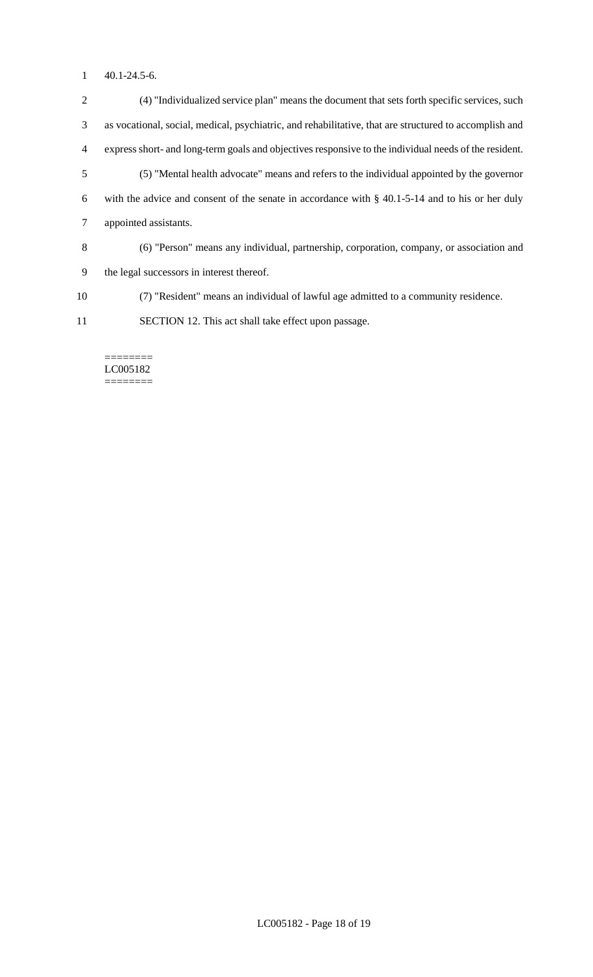40.1-24.5-6.

 (4) "Individualized service plan" means the document that sets forth specific services, such as vocational, social, medical, psychiatric, and rehabilitative, that are structured to accomplish and express short- and long-term goals and objectives responsive to the individual needs of the resident. (5) "Mental health advocate" means and refers to the individual appointed by the governor with the advice and consent of the senate in accordance with § 40.1-5-14 and to his or her duly appointed assistants. (6) "Person" means any individual, partnership, corporation, company, or association and the legal successors in interest thereof. (7) "Resident" means an individual of lawful age admitted to a community residence.

SECTION 12. This act shall take effect upon passage.

======== LC005182 ========